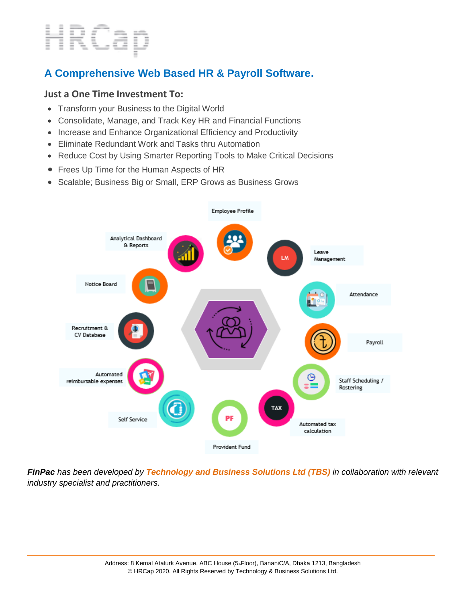# HRCap

# **A Comprehensive Web Based HR & Payroll Software.**

## **Just a One Time Investment To:**

- Transform your Business to the Digital World
- Consolidate, Manage, and Track Key HR and Financial Functions
- Increase and Enhance Organizational Efficiency and Productivity
- Eliminate Redundant Work and Tasks thru Automation
- Reduce Cost by Using Smarter Reporting Tools to Make Critical Decisions
- Frees Up Time for the Human Aspects of HR
- Scalable; Business Big or Small, ERP Grows as Business Grows



*FinPac has been developed by Technology and Business Solutions Ltd (TBS) in collaboration with relevant industry specialist and practitioners.*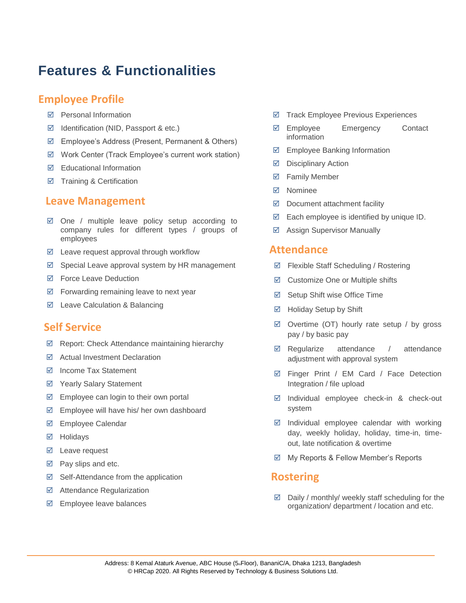# **Features & Functionalities**

## **Employee Profile**

- $⊓$  Personal Information
- $\boxtimes$  Identification (NID, Passport & etc.)
- Employee's Address (Present, Permanent & Others)
- Work Center (Track Employee's current work station)
- Educational Information
- $\boxtimes$  Training & Certification

## **Leave Management**

- $\boxtimes$  One / multiple leave policy setup according to company rules for different types / groups of employees
- $\boxtimes$  Leave request approval through workflow
- $\boxtimes$  Special Leave approval system by HR management
- $\boxtimes$  Force Leave Deduction
- $\boxtimes$  Forwarding remaining leave to next year
- $\boxtimes$  Leave Calculation & Balancing

## **Self Service**

- $\boxtimes$  Report: Check Attendance maintaining hierarchy
- Actual Investment Declaration
- $\boxtimes$  Income Tax Statement
- $\boxtimes$  Yearly Salary Statement
- $\boxtimes$  Employee can login to their own portal
- Employee will have his/ her own dashboard
- Employee Calendar
- Holidays
- $\boxtimes$  Leave request
- $\boxtimes$  Pay slips and etc.
- $\boxtimes$  Self-Attendance from the application
- Attendance Regularization
- $\boxtimes$  Employee leave balances
- $\boxtimes$  Track Employee Previous Experiences
- Employee Emergency Contact information
- $\boxtimes$  Employee Banking Information
- $\boxed{ }$  Disciplinary Action
- **Ø** Family Member
- **⊠** Nominee
- $\boxtimes$  Document attachment facility
- $\boxtimes$  Each employee is identified by unique ID.
- Assign Supervisor Manually

### **Attendance**

- Flexible Staff Scheduling / Rostering
- Customize One or Multiple shifts
- $\boxtimes$  Setup Shift wise Office Time
- Holiday Setup by Shift
- $\boxtimes$  Overtime (OT) hourly rate setup / by gross pay / by basic pay
- $\boxtimes$  Regularize attendance / attendance adjustment with approval system
- Finger Print / EM Card / Face Detection Integration / file upload
- $\boxtimes$  Individual employee check-in & check-out system
- $\boxtimes$  Individual employee calendar with working day, weekly holiday, holiday, time-in, timeout, late notification & overtime
- $\boxtimes$  My Reports & Fellow Member's Reports

# **Rostering**

 $\boxtimes$  Daily / monthly/ weekly staff scheduling for the organization/ department / location and etc.